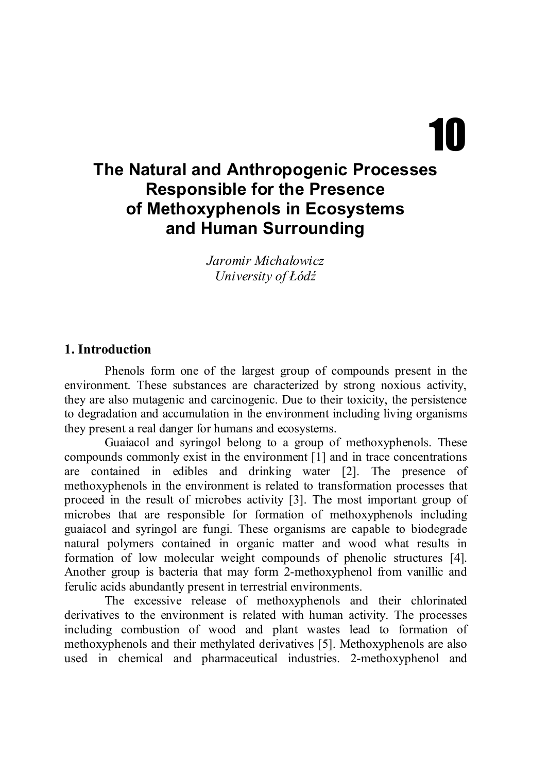# 10

# **The Natural and Anthropogenic Processes Responsible for the Presence of Methoxyphenols in Ecosystems and Human Surrounding**

*Jaromir Michałowicz University of Łódź*

#### **1. Introduction**

Phenols form one of the largest group of compounds present in the environment. These substances are characterized by strong noxious activity, they are also mutagenic and carcinogenic. Due to their toxicity, the persistence to degradation and accumulation in the environment including living organisms they present a real danger for humans and ecosystems.

Guaiacol and syringol belong to a group of methoxyphenols. These compounds commonly exist in the environment [1] and in trace concentrations are contained in edibles and drinking water [2]. The presence of methoxyphenols in the environment is related to transformation processes that proceed in the result of microbes activity [3]. The most important group of microbes that are responsible for formation of methoxyphenols including guaiacol and syringol are fungi. These organisms are capable to biodegrade natural polymers contained in organic matter and wood what results in formation of low molecular weight compounds of phenolic structures [4]. Another group is bacteria that may form 2-methoxyphenol from vanillic and ferulic acids abundantly present in terrestrial environments.

The excessive release of methoxyphenols and their chlorinated derivatives to the environment is related with human activity. The processes including combustion of wood and plant wastes lead to formation of methoxyphenols and their methylated derivatives [5]. Methoxyphenols are also used in chemical and pharmaceutical industries. 2-methoxyphenol and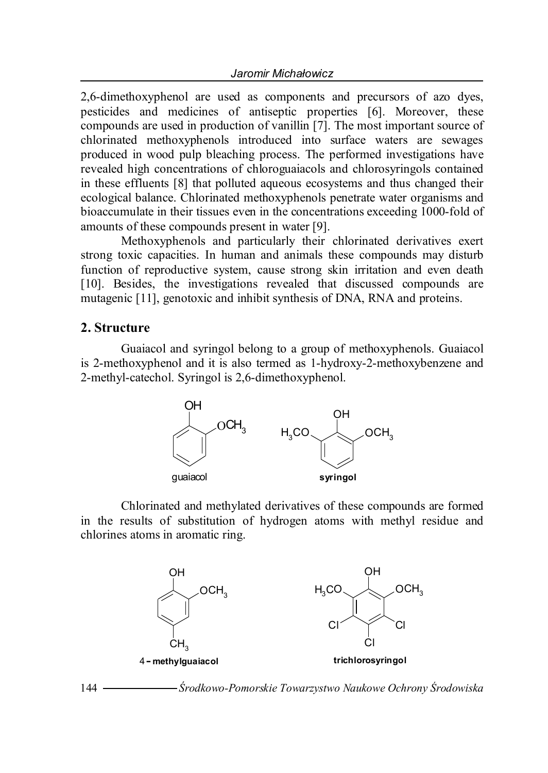2,6-dimethoxyphenol are used as components and precursors of azo dyes, pesticides and medicines of antiseptic properties [6]. Moreover, these compounds are used in production of vanillin [7]. The most important source of chlorinated methoxyphenols introduced into surface waters are sewages produced in wood pulp bleaching process. The performed investigations have revealed high concentrations of chloroguaiacols and chlorosyringols contained in these effluents [8] that polluted aqueous ecosystems and thus changed their ecological balance. Chlorinated methoxyphenols penetrate water organisms and bioaccumulate in their tissues even in the concentrations exceeding 1000-fold of amounts of these compounds present in water [9].

Methoxyphenols and particularly their chlorinated derivatives exert strong toxic capacities. In human and animals these compounds may disturb function of reproductive system, cause strong skin irritation and even death [10]. Besides, the investigations revealed that discussed compounds are mutagenic [11], genotoxic and inhibit synthesis of DNA, RNA and proteins.

#### **2. Structure**

Guaiacol and syringol belong to a group of methoxyphenols. Guaiacol is 2-methoxyphenol and it is also termed as 1-hydroxy-2-methoxybenzene and 2-methyl-catechol. Syringol is 2,6-dimethoxyphenol.



Chlorinated and methylated derivatives of these compounds are formed in the results of substitution of hydrogen atoms with methyl residue and chlorines atoms in aromatic ring.

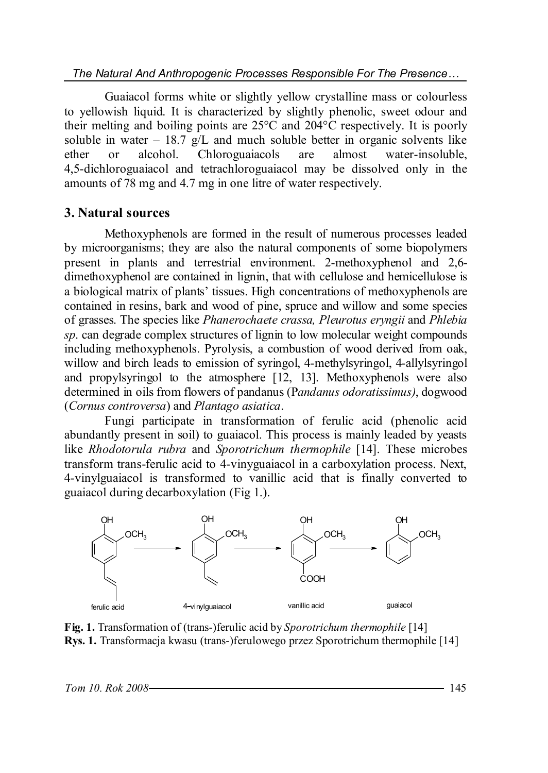*The Natural And Anthropogenic Processes Responsible For The Presence…*

Guaiacol forms white or slightly yellow crystalline mass or colourless to yellowish liquid. It is characterized by slightly phenolic, sweet odour and their melting and boiling points are 25°C and 204°C respectively. It is poorly soluble in water – 18.7  $g/L$  and much soluble better in organic solvents like ether or alcohol. Chloroguaiacols are almost water-insoluble, 4,5-dichloroguaiacol and tetrachloroguaiacol may be dissolved only in the amounts of 78 mg and 4.7 mg in one litre of water respectively.

### **3. Natural sources**

Methoxyphenols are formed in the result of numerous processes leaded by microorganisms; they are also the natural components of some biopolymers present in plants and terrestrial environment. 2-methoxyphenol and 2,6 dimethoxyphenol are contained in lignin, that with cellulose and hemicellulose is a biological matrix of plants' tissues. High concentrations of methoxyphenols are contained in resins, bark and wood of pine, spruce and willow and some species of grasses. The species like *Phanerochaete crassa, Pleurotus eryngii* and *Phlebia sp*. can degrade complex structures of lignin to low molecular weight compounds including methoxyphenols. Pyrolysis, a combustion of wood derived from oak, willow and birch leads to emission of syringol, 4-methylsyringol, 4-allylsyringol and propylsyringol to the atmosphere [12, 13]. Methoxyphenols were also determined in oils from flowers of pandanus (P*andanus odoratissimus)*, dogwood (*Cornus controversa*) and *Plantago asiatica*.

Fungi participate in transformation of ferulic acid (phenolic acid abundantly present in soil) to guaiacol. This process is mainly leaded by yeasts like *Rhodotorula rubra* and *Sporotrichum thermophile* [14]. These microbes transform trans-ferulic acid to 4-vinyguaiacol in a carboxylation process. Next, 4-vinylguaiacol is transformed to vanillic acid that is finally converted to guaiacol during decarboxylation (Fig 1.).



**Fig. 1.** Transformation of (trans-)ferulic acid by *Sporotrichum thermophile* [14] **Rys. 1.** Transformacja kwasu (trans-)ferulowego przez Sporotrichum thermophile [14]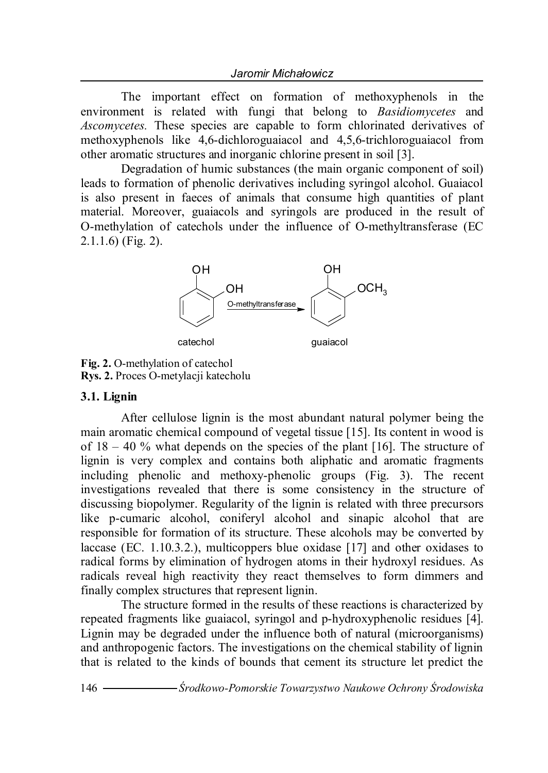The important effect on formation of methoxyphenols in the environment is related with fungi that belong to *Basidiomycetes* and *Ascomycetes.* These species are capable to form chlorinated derivatives of methoxyphenols like 4,6-dichloroguaiacol and 4,5,6-trichloroguaiacol from other aromatic structures and inorganic chlorine present in soil [3].

Degradation of humic substances (the main organic component of soil) leads to formation of phenolic derivatives including syringol alcohol. Guaiacol is also present in faeces of animals that consume high quantities of plant material. Moreover, guaiacols and syringols are produced in the result of O-methylation of catechols under the influence of O-methyltransferase (EC 2.1.1.6) (Fig. 2).



**Fig. 2.** O-methylation of catechol **Rys. 2.** Proces O-metylacji katecholu

#### **3.1. Lignin**

After cellulose lignin is the most abundant natural polymer being the main aromatic chemical compound of vegetal tissue [15]. Its content in wood is of  $18 - 40$  % what depends on the species of the plant [16]. The structure of lignin is very complex and contains both aliphatic and aromatic fragments including phenolic and methoxy-phenolic groups (Fig. 3). The recent investigations revealed that there is some consistency in the structure of discussing biopolymer. Regularity of the lignin is related with three precursors like p-cumaric alcohol, coniferyl alcohol and sinapic alcohol that are responsible for formation of its structure. These alcohols may be converted by laccase (EC. 1.10.3.2.), multicoppers blue oxidase [17] and other oxidases to radical forms by elimination of hydrogen atoms in their hydroxyl residues. As radicals reveal high reactivity they react themselves to form dimmers and finally complex structures that represent lignin.

The structure formed in the results of these reactions is characterized by repeated fragments like guaiacol, syringol and p-hydroxyphenolic residues [4]. Lignin may be degraded under the influence both of natural (microorganisms) and anthropogenic factors. The investigations on the chemical stability of lignin that is related to the kinds of bounds that cement its structure let predict the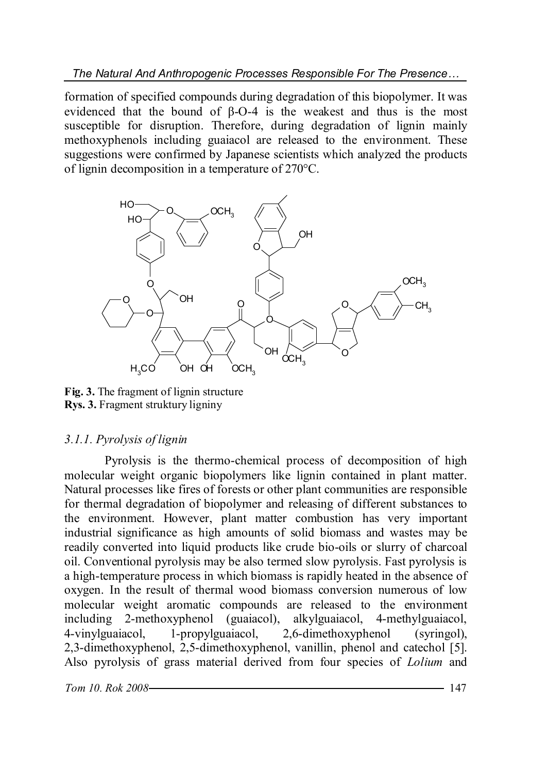formation of specified compounds during degradation of this biopolymer. It was evidenced that the bound of β-O-4 is the weakest and thus is the most susceptible for disruption. Therefore, during degradation of lignin mainly methoxyphenols including guaiacol are released to the environment. These suggestions were confirmed by Japanese scientists which analyzed the products of lignin decomposition in a temperature of 270°C.



**Fig. 3.** The fragment of lignin structure **Rys. 3.** Fragment struktury ligniny

#### *3.1.1. Pyrolysis of lignin*

Pyrolysis is the thermo-chemical process of decomposition of high molecular weight organic biopolymers like lignin contained in plant matter. Natural processes like fires of forests or other plant communities are responsible for thermal degradation of biopolymer and releasing of different substances to the environment. However, plant matter combustion has very important industrial significance as high amounts of solid biomass and wastes may be readily converted into liquid products like crude bio-oils or slurry of charcoal oil. Conventional pyrolysis may be also termed slow pyrolysis. Fast pyrolysis is a high-temperature process in which biomass is rapidly heated in the absence of oxygen. In the result of thermal wood biomass conversion numerous of low molecular weight aromatic compounds are released to the environment including 2-methoxyphenol (guaiacol), alkylguaiacol, 4-methylguaiacol, 4-vinylguaiacol, 1-propylguaiacol, 2,6-dimethoxyphenol (syringol), 2,3-dimethoxyphenol, 2,5-dimethoxyphenol, vanillin, phenol and catechol [5]. Also pyrolysis of grass material derived from four species of *Lolium* and

*Tom 10. Rok 2008* 147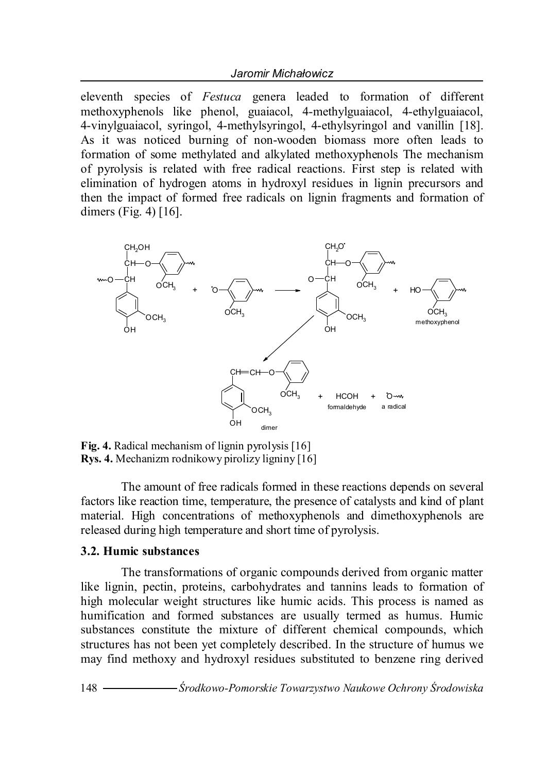eleventh species of *Festuca* genera leaded to formation of different methoxyphenols like phenol, guaiacol, 4-methylguaiacol, 4-ethylguaiacol, 4-vinylguaiacol, syringol, 4-methylsyringol, 4-ethylsyringol and vanillin [18]. As it was noticed burning of non-wooden biomass more often leads to formation of some methylated and alkylated methoxyphenols The mechanism of pyrolysis is related with free radical reactions. First step is related with elimination of hydrogen atoms in hydroxyl residues in lignin precursors and then the impact of formed free radicals on lignin fragments and formation of dimers (Fig. 4) [16].



**Fig. 4.** Radical mechanism of lignin pyrolysis [16] **Rys. 4.** Mechanizm rodnikowy pirolizy ligniny [16]

The amount of free radicals formed in these reactions depends on several factors like reaction time, temperature, the presence of catalysts and kind of plant material. High concentrations of methoxyphenols and dimethoxyphenols are released during high temperature and short time of pyrolysis.

#### **3.2. Humic substances**

The transformations of organic compounds derived from organic matter like lignin, pectin, proteins, carbohydrates and tannins leads to formation of high molecular weight structures like humic acids. This process is named as humification and formed substances are usually termed as humus. Humic substances constitute the mixture of different chemical compounds, which structures has not been yet completely described. In the structure of humus we may find methoxy and hydroxyl residues substituted to benzene ring derived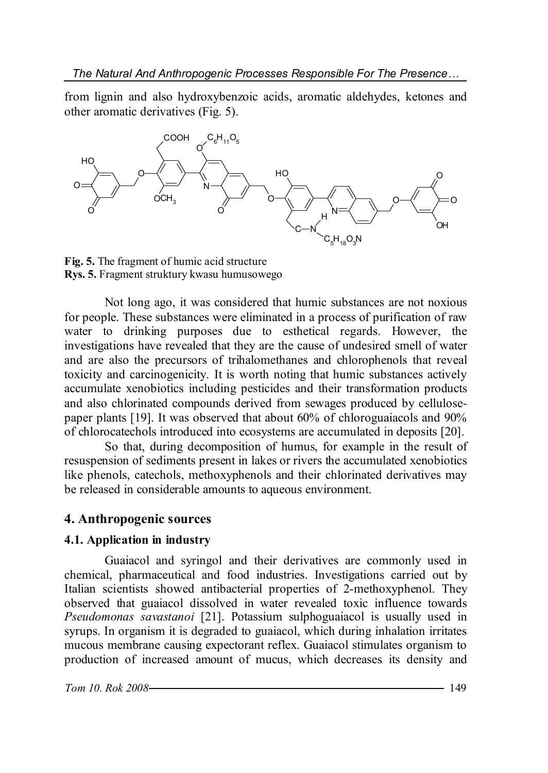from lignin and also hydroxybenzoic acids, aromatic aldehydes, ketones and other aromatic derivatives (Fig. 5).



**Fig. 5.** The fragment of humic acid structure **Rys. 5.** Fragment struktury kwasu humusowego

Not long ago, it was considered that humic substances are not noxious for people. These substances were eliminated in a process of purification of raw water to drinking purposes due to esthetical regards. However, the investigations have revealed that they are the cause of undesired smell of water and are also the precursors of trihalomethanes and chlorophenols that reveal toxicity and carcinogenicity. It is worth noting that humic substances actively accumulate xenobiotics including pesticides and their transformation products and also chlorinated compounds derived from sewages produced by cellulosepaper plants [19]. It was observed that about 60% of chloroguaiacols and 90% of chlorocatechols introduced into ecosystems are accumulated in deposits [20].

So that, during decomposition of humus, for example in the result of resuspension of sediments present in lakes or rivers the accumulated xenobiotics like phenols, catechols, methoxyphenols and their chlorinated derivatives may be released in considerable amounts to aqueous environment.

#### **4. Anthropogenic sources**

#### **4.1. Application in industry**

Guaiacol and syringol and their derivatives are commonly used in chemical, pharmaceutical and food industries. Investigations carried out by Italian scientists showed antibacterial properties of 2-methoxyphenol. They observed that guaiacol dissolved in water revealed toxic influence towards *Pseudomonas savastanoi* [21]. Potassium sulphoguaiacol is usually used in syrups. In organism it is degraded to guaiacol, which during inhalation irritates mucous membrane causing expectorant reflex. Guaiacol stimulates organism to production of increased amount of mucus, which decreases its density and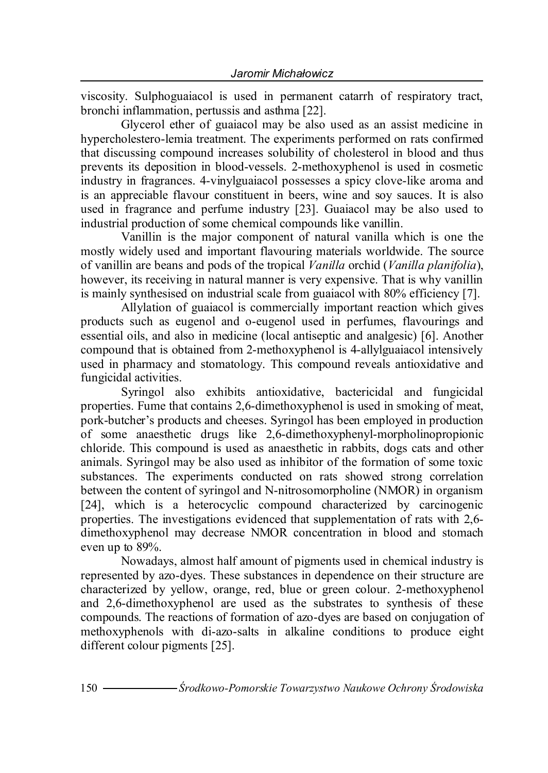viscosity. Sulphoguaiacol is used in permanent catarrh of respiratory tract, bronchi inflammation, pertussis and asthma [22].

Glycerol ether of guaiacol may be also used as an assist medicine in hypercholestero-lemia treatment. The experiments performed on rats confirmed that discussing compound increases solubility of cholesterol in blood and thus prevents its deposition in blood-vessels. 2-methoxyphenol is used in cosmetic industry in fragrances. 4-vinylguaiacol possesses a spicy clove-like aroma and is an appreciable flavour constituent in beers, wine and soy sauces. It is also used in fragrance and perfume industry [23]. Guaiacol may be also used to industrial production of some chemical compounds like vanillin.

Vanillin is the major component of natural vanilla which is one the mostly widely used and important flavouring materials worldwide. The source of vanillin are beans and pods of the tropical *Vanilla* orchid (*Vanilla planifolia*), however, its receiving in natural manner is very expensive. That is why vanillin is mainly synthesised on industrial scale from guaiacol with 80% efficiency [7].

Allylation of guaiacol is commercially important reaction which gives products such as eugenol and o-eugenol used in perfumes, flavourings and essential oils, and also in medicine (local antiseptic and analgesic) [6]. Another compound that is obtained from 2-methoxyphenol is 4-allylguaiacol intensively used in pharmacy and stomatology. This compound reveals antioxidative and fungicidal activities.

Syringol also exhibits antioxidative, bactericidal and fungicidal properties. Fume that contains 2,6-dimethoxyphenol is used in smoking of meat, pork-butcher's products and cheeses. Syringol has been employed in production of some anaesthetic drugs like 2,6-dimethoxyphenyl-morpholinopropionic chloride. This compound is used as anaesthetic in rabbits, dogs cats and other animals. Syringol may be also used as inhibitor of the formation of some toxic substances. The experiments conducted on rats showed strong correlation between the content of syringol and N-nitrosomorpholine (NMOR) in organism [24], which is a heterocyclic compound characterized by carcinogenic properties. The investigations evidenced that supplementation of rats with 2,6 dimethoxyphenol may decrease NMOR concentration in blood and stomach even up to 89%.

Nowadays, almost half amount of pigments used in chemical industry is represented by azo-dyes. These substances in dependence on their structure are characterized by yellow, orange, red, blue or green colour. 2-methoxyphenol and 2,6-dimethoxyphenol are used as the substrates to synthesis of these compounds. The reactions of formation of azo-dyes are based on conjugation of methoxyphenols with di-azo-salts in alkaline conditions to produce eight different colour pigments [25].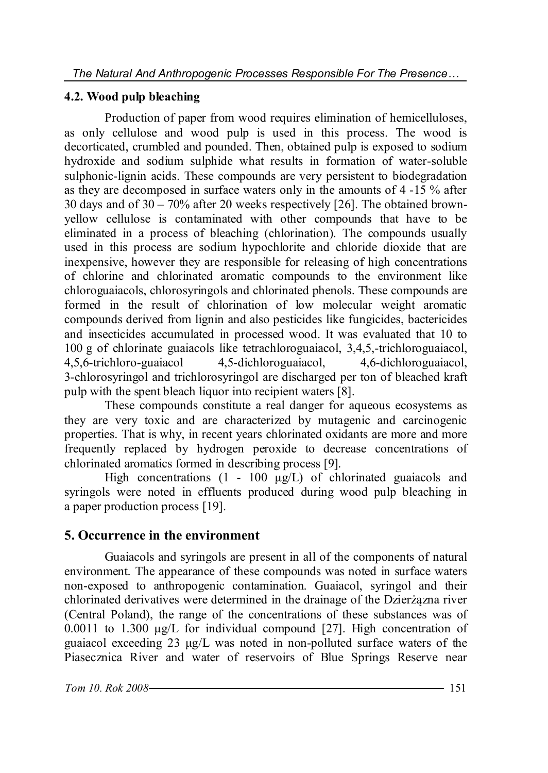### **4.2. Wood pulp bleaching**

Production of paper from wood requires elimination of hemicelluloses, as only cellulose and wood pulp is used in this process. The wood is decorticated, crumbled and pounded. Then, obtained pulp is exposed to sodium hydroxide and sodium sulphide what results in formation of water-soluble sulphonic-lignin acids. These compounds are very persistent to biodegradation as they are decomposed in surface waters only in the amounts of 4 -15 % after 30 days and of 30 – 70% after 20 weeks respectively [26]. The obtained brownyellow cellulose is contaminated with other compounds that have to be eliminated in a process of bleaching (chlorination). The compounds usually used in this process are sodium hypochlorite and chloride dioxide that are inexpensive, however they are responsible for releasing of high concentrations of chlorine and chlorinated aromatic compounds to the environment like chloroguaiacols, chlorosyringols and chlorinated phenols. These compounds are formed in the result of chlorination of low molecular weight aromatic compounds derived from lignin and also pesticides like fungicides, bactericides and insecticides accumulated in processed wood. It was evaluated that 10 to 100 g of chlorinate guaiacols like tetrachloroguaiacol, 3,4,5,-trichloroguaiacol, 4,5,6-trichloro-guaiacol 4,5-dichloroguaiacol, 4,6-dichloroguaiacol, 3-chlorosyringol and trichlorosyringol are discharged per ton of bleached kraft pulp with the spent bleach liquor into recipient waters [8].

These compounds constitute a real danger for aqueous ecosystems as they are very toxic and are characterized by mutagenic and carcinogenic properties. That is why, in recent years chlorinated oxidants are more and more frequently replaced by hydrogen peroxide to decrease concentrations of chlorinated aromatics formed in describing process [9].

High concentrations (1 - 100 μg/L) of chlorinated guaiacols and syringols were noted in effluents produced during wood pulp bleaching in a paper production process [19].

## **5. Occurrence in the environment**

Guaiacols and syringols are present in all of the components of natural environment. The appearance of these compounds was noted in surface waters non-exposed to anthropogenic contamination. Guaiacol, syringol and their chlorinated derivatives were determined in the drainage of the Dzierżązna river (Central Poland), the range of the concentrations of these substances was of 0.0011 to 1.300 μg/L for individual compound [27]. High concentration of guaiacol exceeding 23 μg/L was noted in non-polluted surface waters of the Piasecznica River and water of reservoirs of Blue Springs Reserve near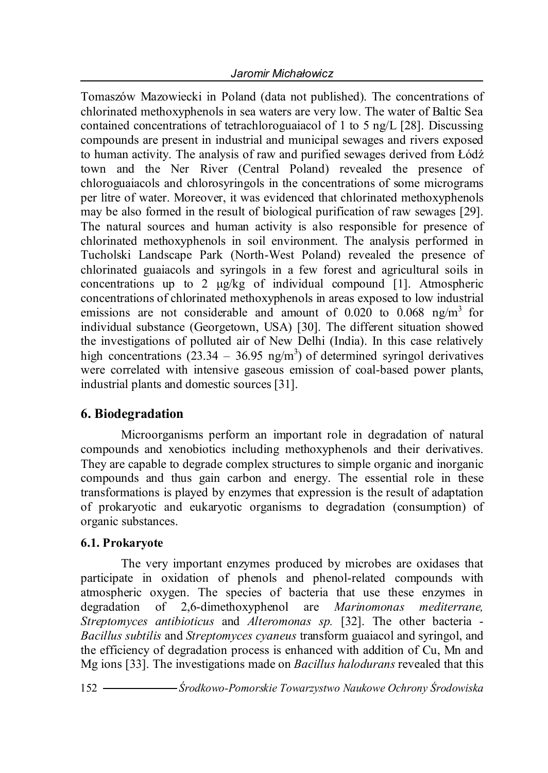Tomaszów Mazowiecki in Poland (data not published). The concentrations of chlorinated methoxyphenols in sea waters are very low. The water of Baltic Sea contained concentrations of tetrachloroguaiacol of 1 to 5 ng/L [28]. Discussing compounds are present in industrial and municipal sewages and rivers exposed to human activity. The analysis of raw and purified sewages derived from Łódź town and the Ner River (Central Poland) revealed the presence of chloroguaiacols and chlorosyringols in the concentrations of some micrograms per litre of water. Moreover, it was evidenced that chlorinated methoxyphenols may be also formed in the result of biological purification of raw sewages [29]. The natural sources and human activity is also responsible for presence of chlorinated methoxyphenols in soil environment. The analysis performed in Tucholski Landscape Park (North-West Poland) revealed the presence of chlorinated guaiacols and syringols in a few forest and agricultural soils in concentrations up to 2 μg/kg of individual compound [1]. Atmospheric concentrations of chlorinated methoxyphenols in areas exposed to low industrial emissions are not considerable and amount of  $0.020$  to  $0.068$  ng/m<sup>3</sup> for individual substance (Georgetown, USA) [30]. The different situation showed the investigations of polluted air of New Delhi (India). In this case relatively high concentrations  $(23.34 - 36.95 \text{ ng/m}^3)$  of determined syringol derivatives were correlated with intensive gaseous emission of coal-based power plants, industrial plants and domestic sources [31].

## **6. Biodegradation**

Microorganisms perform an important role in degradation of natural compounds and xenobiotics including methoxyphenols and their derivatives. They are capable to degrade complex structures to simple organic and inorganic compounds and thus gain carbon and energy. The essential role in these transformations is played by enzymes that expression is the result of adaptation of prokaryotic and eukaryotic organisms to degradation (consumption) of organic substances.

#### **6.1. Prokaryote**

The very important enzymes produced by microbes are oxidases that participate in oxidation of phenols and phenol-related compounds with atmospheric oxygen. The species of bacteria that use these enzymes in degradation of 2,6-dimethoxyphenol are *Marinomonas mediterrane, Streptomyces antibioticus* and *Alteromonas sp.* [32]. The other bacteria - *Bacillus subtilis* and *Streptomyces cyaneus* transform guaiacol and syringol, and the efficiency of degradation process is enhanced with addition of Cu, Mn and Mg ions [33]. The investigations made on *Bacillus halodurans* revealed that this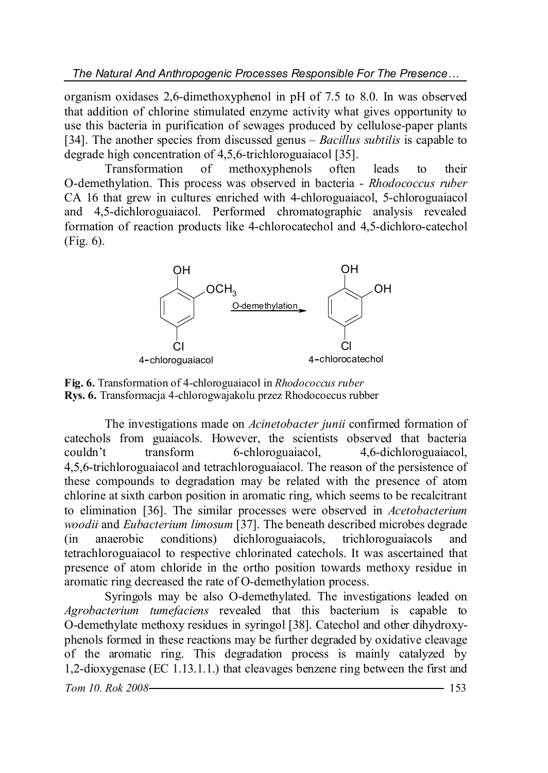organism oxidases 2,6-dimethoxyphenol in pH of 7.5 to 8.0. In was observed that addition of chlorine stimulated enzyme activity what gives opportunity to use this bacteria in purification of sewages produced by cellulose-paper plants [34]. The another species from discussed genus – *Bacillus subtilis* is capable to degrade high concentration of 4,5,6-trichloroguaiacol [35].

Transformation of methoxyphenols often leads to their O-demethylation. This process was observed in bacteria - *Rhodococcus ruber* CA 16 that grew in cultures enriched with 4-chloroguaiacol, 5-chloroguaiacol and 4,5-dichloroguaiacol. Performed chromatographic analysis revealed formation of reaction products like 4-chlorocatechol and 4,5-dichloro-catechol (Fig. 6).



**Fig. 6.** Transformation of 4-chloroguaiacol in *Rhodococcus ruber* **Rys. 6.** Transformacja 4-chlorogwajakolu przez Rhodococcus rubber

The investigations made on *Acinetobacter junii* confirmed formation of catechols from guaiacols. However, the scientists observed that bacteria couldn't transform 6-chloroguaiacol, 4,6-dichloroguaiacol, 4,5,6-trichloroguaiacol and tetrachloroguaiacol. The reason of the persistence of these compounds to degradation may be related with the presence of atom chlorine at sixth carbon position in aromatic ring, which seems to be recalcitrant to elimination [36]. The similar processes were observed in *Acetobacterium woodii* and *Eubacterium limosum* [37]. The beneath described microbes degrade (in anaerobic conditions) dichloroguaiacols, trichloroguaiacols and tetrachloroguaiacol to respective chlorinated catechols. It was ascertained that presence of atom chloride in the ortho position towards methoxy residue in aromatic ring decreased the rate of O-demethylation process.

Syringols may be also O-demethylated. The investigations leaded on *Agrobacterium tumefaciens* revealed that this bacterium is capable to O-demethylate methoxy residues in syringol [38]. Catechol and other dihydroxyphenols formed in these reactions may be further degraded by oxidative cleavage of the aromatic ring. This degradation process is mainly catalyzed by 1,2-dioxygenase (EC 1.13.1.1.) that cleavages benzene ring between the first and

*Tom 10. Rok 2008* 153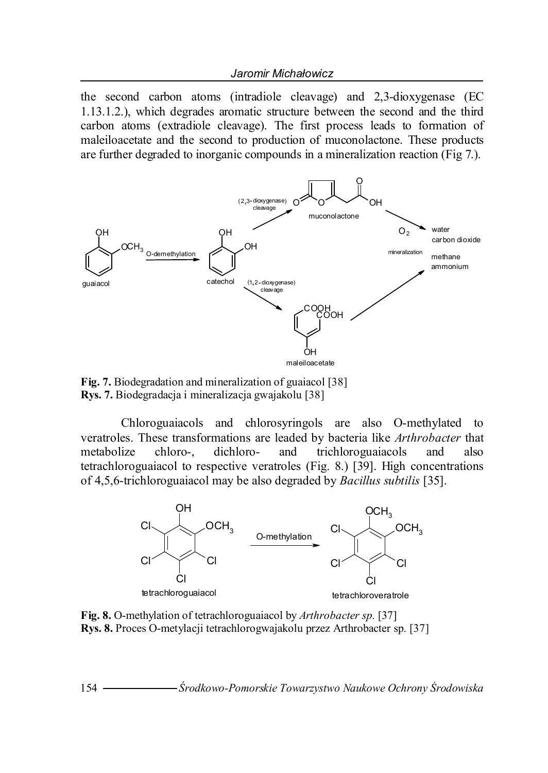the second carbon atoms (intradiole cleavage) and 2,3-dioxygenase (EC 1.13.1.2.), which degrades aromatic structure between the second and the third carbon atoms (extradiole cleavage). The first process leads to formation of maleiloacetate and the second to production of muconolactone. These products are further degraded to inorganic compounds in a mineralization reaction (Fig 7.).



**Fig. 7.** Biodegradation and mineralization of guaiacol [38] **Rys. 7.** Biodegradacja i mineralizacja gwajakolu [38]

Chloroguaiacols and chlorosyringols are also O-methylated to veratroles. These transformations are leaded by bacteria like *Arthrobacter* that metabolize chloro-, dichloro- and trichloroguaiacols and also tetrachloroguaiacol to respective veratroles (Fig. 8.) [39]. High concentrations of 4,5,6-trichloroguaiacol may be also degraded by *Bacillus subtilis* [35].



**Fig. 8.** O-methylation of tetrachloroguaiacol by *Arthrobacter sp.* [37] **Rys. 8.** Proces O-metylacji tetrachlorogwajakolu przez Arthrobacter sp. [37]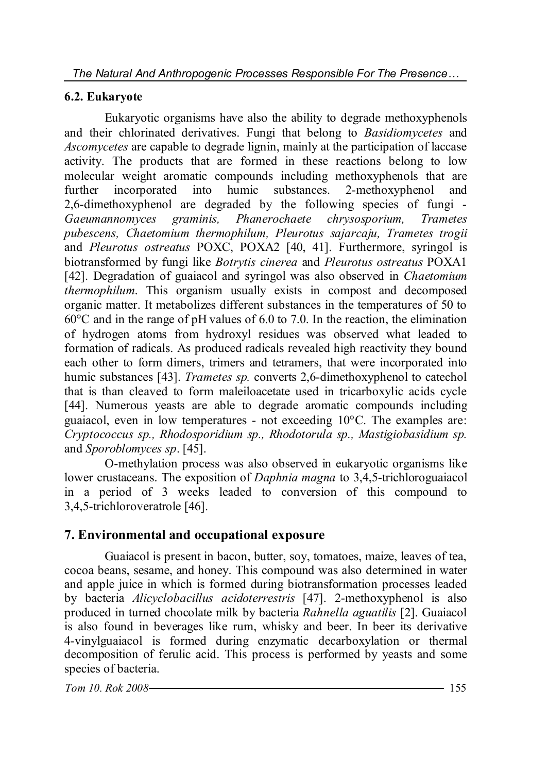#### **6.2. Eukaryote**

Eukaryotic organisms have also the ability to degrade methoxyphenols and their chlorinated derivatives. Fungi that belong to *Basidiomycetes* and *Ascomycetes* are capable to degrade lignin, mainly at the participation of laccase activity. The products that are formed in these reactions belong to low molecular weight aromatic compounds including methoxyphenols that are further incorporated into humic substances. 2-methoxyphenol and 2,6-dimethoxyphenol are degraded by the following species of fungi - *Gaeumannomyces graminis, Phanerochaete chrysosporium, Trametes pubescens, Chaetomium thermophilum, Pleurotus sajarcaju, Trametes trogii*  and *Pleurotus ostreatus* POXC, POXA2 [40, 41]. Furthermore, syringol is biotransformed by fungi like *Botrytis cinerea* and *Pleurotus ostreatus* POXA1 [42]. Degradation of guaiacol and syringol was also observed in *Chaetomium thermophilum*. This organism usually exists in compost and decomposed organic matter. It metabolizes different substances in the temperatures of 50 to  $60^{\circ}$ C and in the range of pH values of 6.0 to 7.0. In the reaction, the elimination of hydrogen atoms from hydroxyl residues was observed what leaded to formation of radicals. As produced radicals revealed high reactivity they bound each other to form dimers, trimers and tetramers, that were incorporated into humic substances [43]. *Trametes sp.* converts 2,6-dimethoxyphenol to catechol that is than cleaved to form maleiloacetate used in tricarboxylic acids cycle [44]. Numerous yeasts are able to degrade aromatic compounds including guaiacol, even in low temperatures - not exceeding 10°C. The examples are: *Cryptococcus sp., Rhodosporidium sp., Rhodotorula sp., Mastigiobasidium sp.*  and *Sporoblomyces sp*. [45].

O-methylation process was also observed in eukaryotic organisms like lower crustaceans. The exposition of *Daphnia magna* to 3,4,5-trichloroguaiacol in a period of 3 weeks leaded to conversion of this compound to 3,4,5-trichloroveratrole [46].

## **7. Environmental and occupational exposure**

Guaiacol is present in bacon, butter, soy, tomatoes, maize, leaves of tea, cocoa beans, sesame, and honey. This compound was also determined in water and apple juice in which is formed during biotransformation processes leaded by bacteria *Alicyclobacillus acidoterrestris* [47]. 2-methoxyphenol is also produced in turned chocolate milk by bacteria *Rahnella aguatilis* [2]. Guaiacol is also found in beverages like rum, whisky and beer. In beer its derivative 4-vinylguaiacol is formed during enzymatic decarboxylation or thermal decomposition of ferulic acid. This process is performed by yeasts and some species of bacteria.

*Tom 10. Rok 2008* 155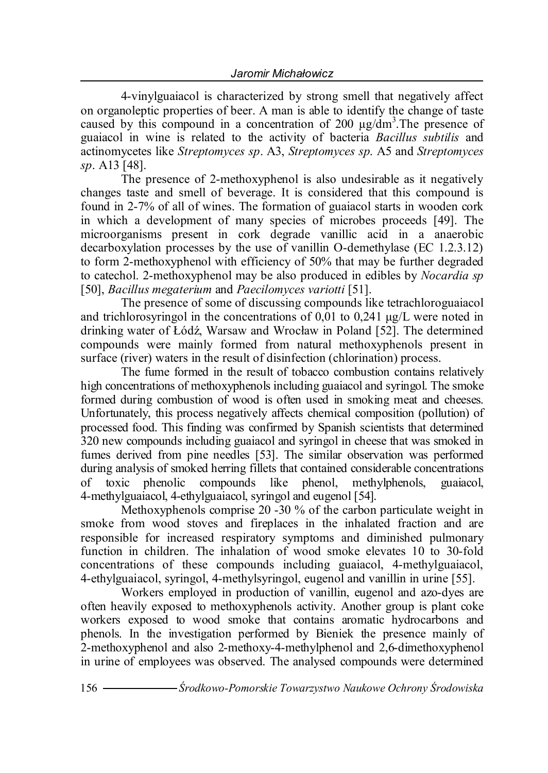4-vinylguaiacol is characterized by strong smell that negatively affect on organoleptic properties of beer. A man is able to identify the change of taste caused by this compound in a concentration of 200 µg/dm<sup>3</sup>. The presence of guaiacol in wine is related to the activity of bacteria *Bacillus subtilis* and actinomycetes like *Streptomyces sp*. A3, *Streptomyces sp*. A5 and *Streptomyces sp*. A13 [48].

The presence of 2-methoxyphenol is also undesirable as it negatively changes taste and smell of beverage. It is considered that this compound is found in 2-7% of all of wines. The formation of guaiacol starts in wooden cork in which a development of many species of microbes proceeds [49]. The microorganisms present in cork degrade vanillic acid in a anaerobic decarboxylation processes by the use of vanillin O-demethylase (EC 1.2.3.12) to form 2-methoxyphenol with efficiency of 50% that may be further degraded to catechol. 2-methoxyphenol may be also produced in edibles by *Nocardia sp*  [50], *Bacillus megaterium* and *Paecilomyces variotti* [51].

The presence of some of discussing compounds like tetrachloroguaiacol and trichlorosyringol in the concentrations of 0,01 to 0,241  $\mu$ g/L were noted in drinking water of Łódź, Warsaw and Wrocław in Poland [52]. The determined compounds were mainly formed from natural methoxyphenols present in surface (river) waters in the result of disinfection (chlorination) process.

The fume formed in the result of tobacco combustion contains relatively high concentrations of methoxyphenols including guaiacol and syringol. The smoke formed during combustion of wood is often used in smoking meat and cheeses. Unfortunately, this process negatively affects chemical composition (pollution) of processed food. This finding was confirmed by Spanish scientists that determined 320 new compounds including guaiacol and syringol in cheese that was smoked in fumes derived from pine needles [53]. The similar observation was performed during analysis of smoked herring fillets that contained considerable concentrations of toxic phenolic compounds like phenol, methylphenols, guaiacol, 4-methylguaiacol, 4-ethylguaiacol, syringol and eugenol [54].

Methoxyphenols comprise 20 -30 % of the carbon particulate weight in smoke from wood stoves and fireplaces in the inhalated fraction and are responsible for increased respiratory symptoms and diminished pulmonary function in children. The inhalation of wood smoke elevates 10 to 30-fold concentrations of these compounds including guaiacol, 4-methylguaiacol, 4-ethylguaiacol, syringol, 4-methylsyringol, eugenol and vanillin in urine [55].

Workers employed in production of vanillin, eugenol and azo-dyes are often heavily exposed to methoxyphenols activity. Another group is plant coke workers exposed to wood smoke that contains aromatic hydrocarbons and phenols. In the investigation performed by Bieniek the presence mainly of 2-methoxyphenol and also 2-methoxy-4-methylphenol and 2,6-dimethoxyphenol in urine of employees was observed. The analysed compounds were determined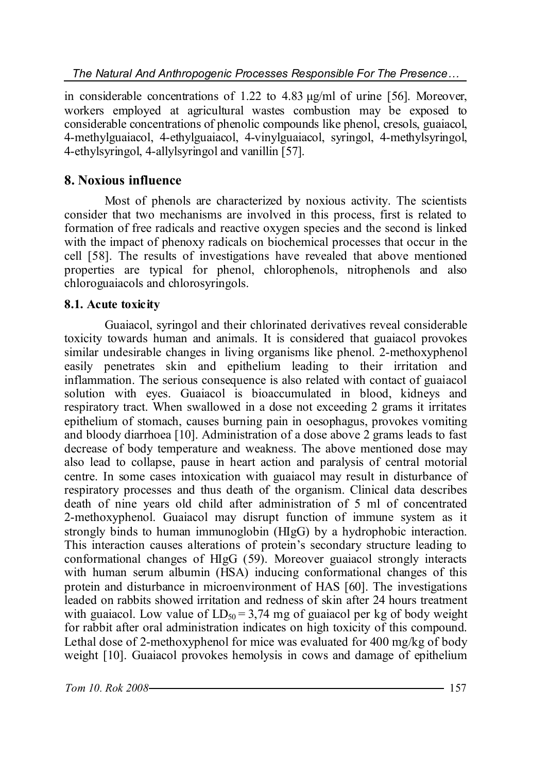in considerable concentrations of 1.22 to 4.83  $\mu$ g/ml of urine [56]. Moreover, workers employed at agricultural wastes combustion may be exposed to considerable concentrations of phenolic compounds like phenol, cresols, guaiacol, 4-methylguaiacol, 4-ethylguaiacol, 4-vinylguaiacol, syringol, 4-methylsyringol, 4-ethylsyringol, 4-allylsyringol and vanillin [57].

## **8. Noxious influence**

Most of phenols are characterized by noxious activity. The scientists consider that two mechanisms are involved in this process, first is related to formation of free radicals and reactive oxygen species and the second is linked with the impact of phenoxy radicals on biochemical processes that occur in the cell [58]. The results of investigations have revealed that above mentioned properties are typical for phenol, chlorophenols, nitrophenols and also chloroguaiacols and chlorosyringols.

## **8.1. Acute toxicity**

Guaiacol, syringol and their chlorinated derivatives reveal considerable toxicity towards human and animals. It is considered that guaiacol provokes similar undesirable changes in living organisms like phenol. 2-methoxyphenol easily penetrates skin and epithelium leading to their irritation and inflammation. The serious consequence is also related with contact of guaiacol solution with eyes. Guaiacol is bioaccumulated in blood, kidneys and respiratory tract. When swallowed in a dose not exceeding 2 grams it irritates epithelium of stomach, causes burning pain in oesophagus, provokes vomiting and bloody diarrhoea [10]. Administration of a dose above 2 grams leads to fast decrease of body temperature and weakness. The above mentioned dose may also lead to collapse, pause in heart action and paralysis of central motorial centre. In some cases intoxication with guaiacol may result in disturbance of respiratory processes and thus death of the organism. Clinical data describes death of nine years old child after administration of 5 ml of concentrated 2-methoxyphenol. Guaiacol may disrupt function of immune system as it strongly binds to human immunoglobin (HIgG) by a hydrophobic interaction. This interaction causes alterations of protein's secondary structure leading to conformational changes of HIgG (59). Moreover guaiacol strongly interacts with human serum albumin (HSA) inducing conformational changes of this protein and disturbance in microenvironment of HAS [60]. The investigations leaded on rabbits showed irritation and redness of skin after 24 hours treatment with guaiacol. Low value of  $LD_{50} = 3,74$  mg of guaiacol per kg of body weight for rabbit after oral administration indicates on high toxicity of this compound. Lethal dose of 2-methoxyphenol for mice was evaluated for 400 mg/kg of body weight [10]. Guaiacol provokes hemolysis in cows and damage of epithelium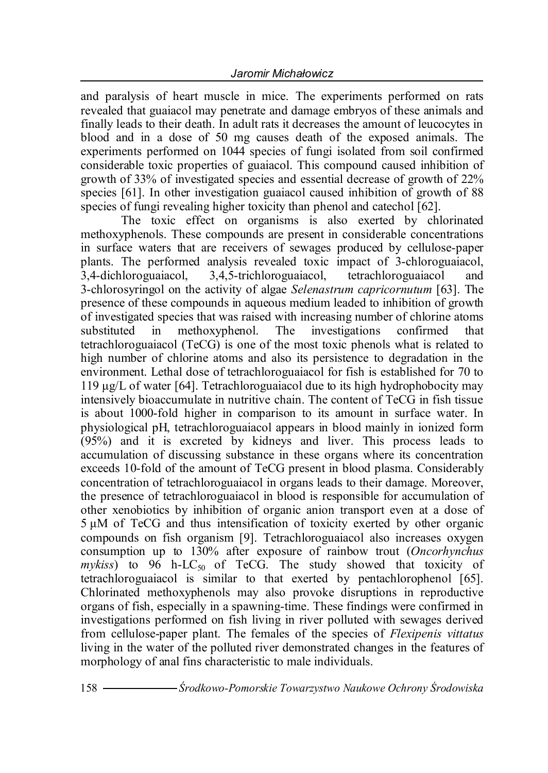and paralysis of heart muscle in mice. The experiments performed on rats revealed that guaiacol may penetrate and damage embryos of these animals and finally leads to their death. In adult rats it decreases the amount of leucocytes in blood and in a dose of 50 mg causes death of the exposed animals. The experiments performed on 1044 species of fungi isolated from soil confirmed considerable toxic properties of guaiacol. This compound caused inhibition of growth of 33% of investigated species and essential decrease of growth of 22% species [61]. In other investigation guaiacol caused inhibition of growth of 88 species of fungi revealing higher toxicity than phenol and catechol [62].

The toxic effect on organisms is also exerted by chlorinated methoxyphenols. These compounds are present in considerable concentrations in surface waters that are receivers of sewages produced by cellulose-paper plants. The performed analysis revealed toxic impact of 3-chloroguaiacol, 3,4-dichloroguaiacol, 3,4,5-trichloroguaiacol, tetrachloroguaiacol and 3-chlorosyringol on the activity of algae *Selenastrum capricornutum* [63]. The presence of these compounds in aqueous medium leaded to inhibition of growth of investigated species that was raised with increasing number of chlorine atoms substituted in methoxyphenol. The investigations confirmed that tetrachloroguaiacol (TeCG) is one of the most toxic phenols what is related to high number of chlorine atoms and also its persistence to degradation in the environment. Lethal dose of tetrachloroguaiacol for fish is established for 70 to 119 μg/L of water [64]. Tetrachloroguaiacol due to its high hydrophobocity may intensively bioaccumulate in nutritive chain. The content of TeCG in fish tissue is about 1000-fold higher in comparison to its amount in surface water. In physiological pH, tetrachloroguaiacol appears in blood mainly in ionized form (95%) and it is excreted by kidneys and liver. This process leads to accumulation of discussing substance in these organs where its concentration exceeds 10-fold of the amount of TeCG present in blood plasma. Considerably concentration of tetrachloroguaiacol in organs leads to their damage. Moreover, the presence of tetrachloroguaiacol in blood is responsible for accumulation of other xenobiotics by inhibition of organic anion transport even at a dose of 5 μM of TeCG and thus intensification of toxicity exerted by other organic compounds on fish organism [9]. Tetrachloroguaiacol also increases oxygen consumption up to 130% after exposure of rainbow trout (*Oncorhynchus*   $m\nu$ *kiss*) to 96 h-LC<sub>50</sub> of TeCG. The study showed that toxicity of tetrachloroguaiacol is similar to that exerted by pentachlorophenol [65]. Chlorinated methoxyphenols may also provoke disruptions in reproductive organs of fish, especially in a spawning-time. These findings were confirmed in investigations performed on fish living in river polluted with sewages derived from cellulose-paper plant. The females of the species of *Flexipenis vittatus* living in the water of the polluted river demonstrated changes in the features of morphology of anal fins characteristic to male individuals.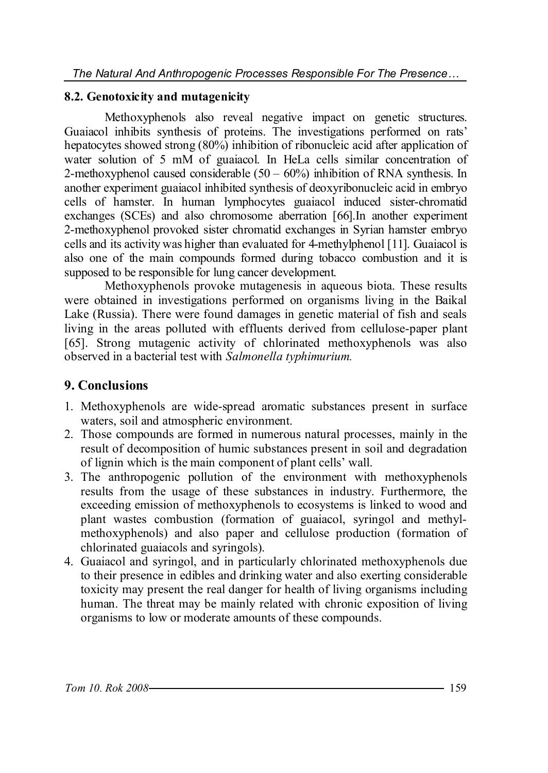#### **8.2. Genotoxicity and mutagenicity**

Methoxyphenols also reveal negative impact on genetic structures. Guaiacol inhibits synthesis of proteins. The investigations performed on rats' hepatocytes showed strong (80%) inhibition of ribonucleic acid after application of water solution of 5 mM of guaiacol. In HeLa cells similar concentration of 2-methoxyphenol caused considerable  $(50 - 60\%)$  inhibition of RNA synthesis. In another experiment guaiacol inhibited synthesis of deoxyribonucleic acid in embryo cells of hamster. In human lymphocytes guaiacol induced sister-chromatid exchanges (SCEs) and also chromosome aberration [66].In another experiment 2-methoxyphenol provoked sister chromatid exchanges in Syrian hamster embryo cells and its activity was higher than evaluated for 4-methylphenol [11]. Guaiacol is also one of the main compounds formed during tobacco combustion and it is supposed to be responsible for lung cancer development.

Methoxyphenols provoke mutagenesis in aqueous biota. These results were obtained in investigations performed on organisms living in the Baikal Lake (Russia). There were found damages in genetic material of fish and seals living in the areas polluted with effluents derived from cellulose-paper plant [65]. Strong mutagenic activity of chlorinated methoxyphenols was also observed in a bacterial test with *Salmonella typhimurium.*

## **9. Conclusions**

- 1. Methoxyphenols are wide-spread aromatic substances present in surface waters, soil and atmospheric environment.
- 2. Those compounds are formed in numerous natural processes, mainly in the result of decomposition of humic substances present in soil and degradation of lignin which is the main component of plant cells' wall.
- 3. The anthropogenic pollution of the environment with methoxyphenols results from the usage of these substances in industry. Furthermore, the exceeding emission of methoxyphenols to ecosystems is linked to wood and plant wastes combustion (formation of guaiacol, syringol and methylmethoxyphenols) and also paper and cellulose production (formation of chlorinated guaiacols and syringols).
- 4. Guaiacol and syringol, and in particularly chlorinated methoxyphenols due to their presence in edibles and drinking water and also exerting considerable toxicity may present the real danger for health of living organisms including human. The threat may be mainly related with chronic exposition of living organisms to low or moderate amounts of these compounds.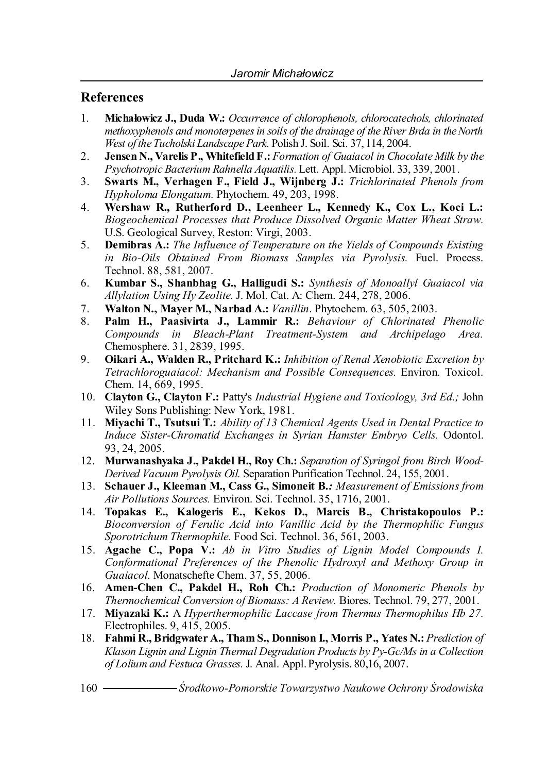#### **References**

- 1. **Michałowicz J., Duda W.:** *Occurrence of chlorophenols, chlorocatechols, chlorinated methoxyphenols and monoterpenes in soils of the drainage of the River Brda in the North West of the Tucholski Landscape Park.* Polish J. Soil. Sci. 37, 114, 2004.
- 2. **Jensen N., Varelis P., Whitefield F.:** *Formation of Guaiacol in Chocolate Milk by the Psychotropic Bacterium Rahnella Aquatilis.* Lett. Appl. Microbiol. 33, 339, 2001.
- 3. **Swarts M., Verhagen F., Field J., Wijnberg J.:** *Trichlorinated Phenols from Hypholoma Elongatum.* Phytochem. 49, 203, 1998.
- 4. **Wershaw R., Rutherford D., Leenheer L., Kennedy K., Cox L., Koci L.:** *Biogeochemical Processes that Produce Dissolved Organic Matter Wheat Straw.* U.S. Geological Survey, Reston: Virgi, 2003.
- 5. **Demibras A.:** *The Influence of Temperature on the Yields of Compounds Existing in Bio-Oils Obtained From Biomass Samples via Pyrolysis.* Fuel. Process. Technol. 88, 581, 2007.
- 6. **Kumbar S., Shanbhag G., Halligudi S.:** *Synthesis of Monoallyl Guaiacol via Allylation Using Hy Zeolite.* J. Mol. Cat. A: Chem. 244, 278, 2006.
- 7. **Walton N., Mayer M., Narbad A.:** *Vanillin*. Phytochem. 63, 505, 2003.
- 8. **Palm H., Paasivirta J., Lammir R.:** *Behaviour of Chlorinated Phenolic Compounds in Bleach-Plant Treatment-System and Archipelago Area.*  Chemosphere. 31, 2839, 1995.
- 9. **Oikari A., Walden R., Pritchard K.:** *Inhibition of Renal Xenobiotic Excretion by Tetrachloroguaiacol: Mechanism and Possible Consequences.* Environ. Toxicol. Chem. 14, 669, 1995.
- 10. **Clayton G., Clayton F.:** Patty's *Industrial Hygiene and Toxicology, 3rd Ed.;* John Wiley Sons Publishing: New York, 1981.
- 11. **Miyachi T., Tsutsui T.:** *Ability of 13 Chemical Agents Used in Dental Practice to Induce Sister-Chromatid Exchanges in Syrian Hamster Embryo Cells.* Odontol. 93, 24, 2005.
- 12. **Murwanashyaka J., Pakdel H., Roy Ch.:** *Separation of Syringol from Birch Wood-Derived Vacuum Pyrolysis Oil.* Separation Purification Technol. 24, 155, 2001.
- 13. **Schauer J., Kleeman M., Cass G., Simoneit B***.: Measurement of Emissions from Air Pollutions Sources.* Environ. Sci. Technol. 35, 1716, 2001.
- 14. **Topakas E., Kalogeris E., Kekos D., Marcis B., Christakopoulos P.:**  *Bioconversion of Ferulic Acid into Vanillic Acid by the Thermophilic Fungus Sporotrichum Thermophile.* Food Sci. Technol. 36, 561, 2003.
- 15. **Agache C., Popa V.:** *Ab in Vitro Studies of Lignin Model Compounds I. Conformational Preferences of the Phenolic Hydroxyl and Methoxy Group in Guaiacol.* Monatschefte Chem. 37, 55, 2006.
- 16. **Amen-Chen C., Pakdel H., Roh Ch.:** *Production of Monomeric Phenols by Thermochemical Conversion of Biomass: A Review.* Biores. Technol. 79, 277, 2001.
- 17. **Miyazaki K.:** A *Hyperthermophilic Laccase from Thermus Thermophilus Hb 27.* Electrophiles. 9, 415, 2005.
- 18. **Fahmi R., Bridgwater A., Tham S., Donnison I., Morris P., Yates N.:** *Prediction of Klason Lignin and Lignin Thermal Degradation Products by Py-Gc/Ms in a Collection of Lolium and Festuca Grasses.* J. Anal. Appl. Pyrolysis. 80,16, 2007.
- 160 *Środkowo-Pomorskie Towarzystwo Naukowe Ochrony Środowiska*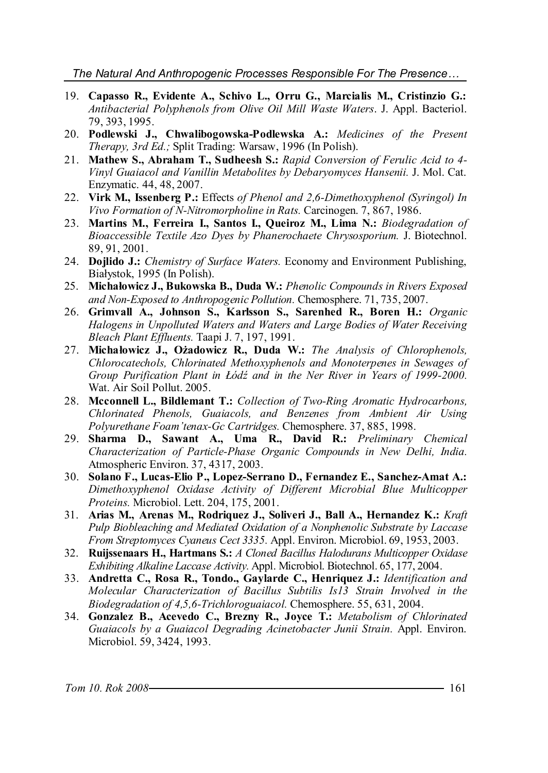*The Natural And Anthropogenic Processes Responsible For The Presence…*

- 19. **Capasso R., Evidente A., Schivo L., Orru G., Marcialis M., Cristinzio G.:** *Antibacterial Polyphenols from Olive Oil Mill Waste Waters*. J. Appl. Bacteriol. 79, 393, 1995.
- 20. **Podlewski J., Chwalibogowska-Podlewska A.:** *Medicines of the Present Therapy, 3rd Ed.;* Split Trading: Warsaw, 1996 (In Polish).
- 21. **Mathew S., Abraham T., Sudheesh S.:** *Rapid Conversion of Ferulic Acid to 4- Vinyl Guaiacol and Vanillin Metabolites by Debaryomyces Hansenii.* J. Mol. Cat. Enzymatic. 44, 48, 2007.
- 22. **Virk M., Issenberg P.:** Effects *of Phenol and 2,6-Dimethoxyphenol (Syringol) In Vivo Formation of N-Nitromorpholine in Rats.* Carcinogen. 7, 867, 1986.
- 23. **Martins M., Ferreira I., Santos I., Queiroz M., Lima N.:** *Biodegradation of Bioaccessible Textile Azo Dyes by Phanerochaete Chrysosporium.* J. Biotechnol. 89, 91, 2001.
- 24. **Dojlido J.:** *Chemistry of Surface Waters.* Economy and Environment Publishing, Białystok, 1995 (In Polish).
- 25. **Michałowicz J., Bukowska B., Duda W.:** *Phenolic Compounds in Rivers Exposed and Non-Exposed to Anthropogenic Pollution.* Chemosphere. 71, 735, 2007.
- 26. **Grimvall A., Johnson S., Karlsson S., Sarenhed R., Boren H.:** *Organic Halogens in Unpolluted Waters and Waters and Large Bodies of Water Receiving Bleach Plant Effluents.* Taapi J. 7, 197, 1991.
- 27. **Michałowicz J., Ożadowicz R., Duda W.:** *The Analysis of Chlorophenols, Chlorocatechols, Chlorinated Methoxyphenols and Monoterpenes in Sewages of Group Purification Plant in Łódź and in the Ner River in Years of 1999-2000.* Wat. Air Soil Pollut. 2005.
- 28. **Mcconnell L., Bildlemant T.:** *Collection of Two-Ring Aromatic Hydrocarbons, Chlorinated Phenols, Guaiacols, and Benzenes from Ambient Air Using Polyurethane Foam'tenax-Gc Cartridges.* Chemosphere. 37, 885, 1998.
- 29. **Sharma D., Sawant A., Uma R., David R.:** *Preliminary Chemical Characterization of Particle-Phase Organic Compounds in New Delhi, India.*  Atmospheric Environ. 37, 4317, 2003.
- 30. **Solano F., Lucas-Elio P., Lopez-Serrano D., Fernandez E., Sanchez-Amat A.:** *Dimethoxyphenol Oxidase Activity of Different Microbial Blue Multicopper Proteins.* Microbiol. Lett. 204, 175, 2001.
- 31. **Arias M., Arenas M., Rodriquez J., Soliveri J., Ball A., Hernandez K.:** *Kraft Pulp Biobleaching and Mediated Oxidation of a Nonphenolic Substrate by Laccase From Streptomyces Cyaneus Cect 3335.* Appl. Environ. Microbiol. 69, 1953, 2003.
- 32. **Ruijssenaars H., Hartmans S.:** *A Cloned Bacillus Halodurans Multicopper Oxidase Exhibiting Alkaline Laccase Activity.* Appl. Microbiol. Biotechnol. 65, 177, 2004.
- 33. **Andretta C., Rosa R., Tondo., Gaylarde C., Henriquez J.:** *Identification and Molecular Characterization of Bacillus Subtilis Is13 Strain Involved in the Biodegradation of 4,5,6-Trichloroguaiacol.* Chemosphere. 55, 631, 2004.
- 34. **Gonzalez B., Acevedo C., Brezny R., Joyce T.:** *Metabolism of Chlorinated Guaiacols by a Guaiacol Degrading Acinetobacter Junii Strain.* Appl. Environ. Microbiol. 59, 3424, 1993.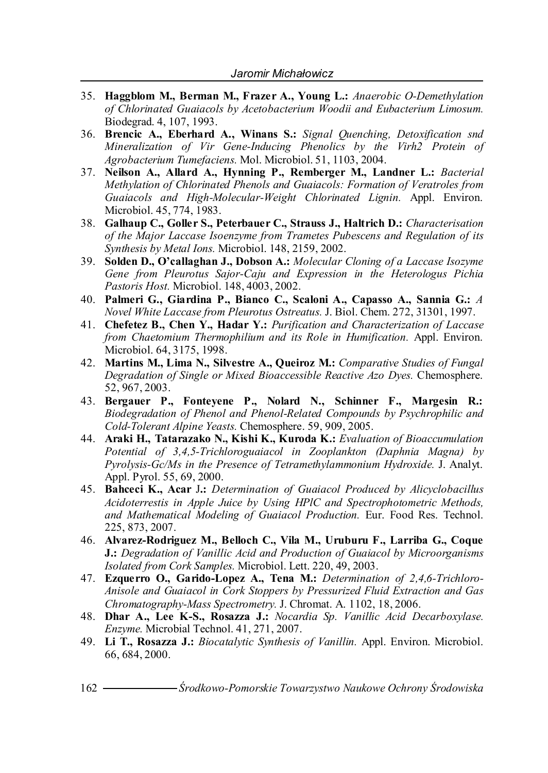- 35. **Haggblom M., Berman M., Frazer A., Young L.:** *Anaerobic O-Demethylation of Chlorinated Guaiacols by Acetobacterium Woodii and Eubacterium Limosum.* Biodegrad. 4, 107, 1993.
- 36. **Brencic A., Eberhard A., Winans S.:** *Signal Quenching, Detoxification snd Mineralization of Vir Gene-Inducing Phenolics by the Virh2 Protein of Agrobacterium Tumefaciens.* Mol. Microbiol. 51, 1103, 2004.
- 37. **Neilson A., Allard A., Hynning P., Remberger M., Landner L.:** *Bacterial Methylation of Chlorinated Phenols and Guaiacols: Formation of Veratroles from Guaiacols and High-Molecular-Weight Chlorinated Lignin.* Appl. Environ. Microbiol. 45, 774, 1983.
- 38. **Galhaup C., Goller S., Peterbauer C., Strauss J., Haltrich D.:** *Characterisation of the Major Laccase Isoenzyme from Trametes Pubescens and Regulation of its Synthesis by Metal Ions.* Microbiol. 148, 2159, 2002.
- 39. **Solden D., O'callaghan J., Dobson A.:** *Molecular Cloning of a Laccase Isozyme Gene from Pleurotus Sajor-Caju and Expression in the Heterologus Pichia Pastoris Host.* Microbiol. 148, 4003, 2002.
- 40. **Palmeri G., Giardina P., Bianco C., Scaloni A., Capasso A., Sannia G.:** *A Novel White Laccase from Pleurotus Ostreatus.* J. Biol. Chem. 272, 31301, 1997.
- 41. **Chefetez B., Chen Y., Hadar Y.:** *Purification and Characterization of Laccase from Chaetomium Thermophilium and its Role in Humification.* Appl. Environ. Microbiol. 64, 3175, 1998.
- 42. **Martins M., Lima N., Silvestre A., Queiroz M.:** *Comparative Studies of Fungal Degradation of Single or Mixed Bioaccessible Reactive Azo Dyes.* Chemosphere. 52, 967, 2003.
- 43. **Bergauer P., Fonteyene P., Nolard N., Schinner F., Margesin R.:** *Biodegradation of Phenol and Phenol-Related Compounds by Psychrophilic and Cold-Tolerant Alpine Yeasts.* Chemosphere. 59, 909, 2005.
- 44. **Araki H., Tatarazako N., Kishi K., Kuroda K.:** *Evaluation of Bioaccumulation Potential of 3,4,5-Trichloroguaiacol in Zooplankton (Daphnia Magna) by Pyrolysis-Gc/Ms in the Presence of Tetramethylammonium Hydroxide.* J. Analyt. Appl. Pyrol. 55, 69, 2000.
- 45. **Bahceci K., Acar** J**.:** *Determination of Guaiacol Produced by Alicyclobacillus Acidoterrestis in Apple Juice by Using HPlC and Spectrophotometric Methods, and Mathematical Modeling of Guaiacol Production.* Eur. Food Res. Technol. 225, 873, 2007.
- 46. **Alvarez-Rodriguez M., Belloch C., Vila M., Uruburu F., Larriba G., Coque J.:** *Degradation of Vanillic Acid and Production of Guaiacol by Microorganisms Isolated from Cork Samples.* Microbiol. Lett. 220, 49, 2003.
- 47. **Ezquerro O., Garido-Lopez A., Tena M.:** *Determination of 2,4,6-Trichloro-Anisole and Guaiacol in Cork Stoppers by Pressurized Fluid Extraction and Gas Chromatography-Mass Spectrometry.* J. Chromat. A. 1102, 18, 2006.
- 48. **Dhar A., Lee K-S., Rosazza J.:** *Nocardia Sp. Vanillic Acid Decarboxylase. Enzyme.* Microbial Technol. 41, 271, 2007.
- 49. **Li T., Rosazza J.:** *Biocatalytic Synthesis of Vanillin.* Appl. Environ. Microbiol. 66, 684, 2000.
- 162 *Środkowo-Pomorskie Towarzystwo Naukowe Ochrony Środowiska*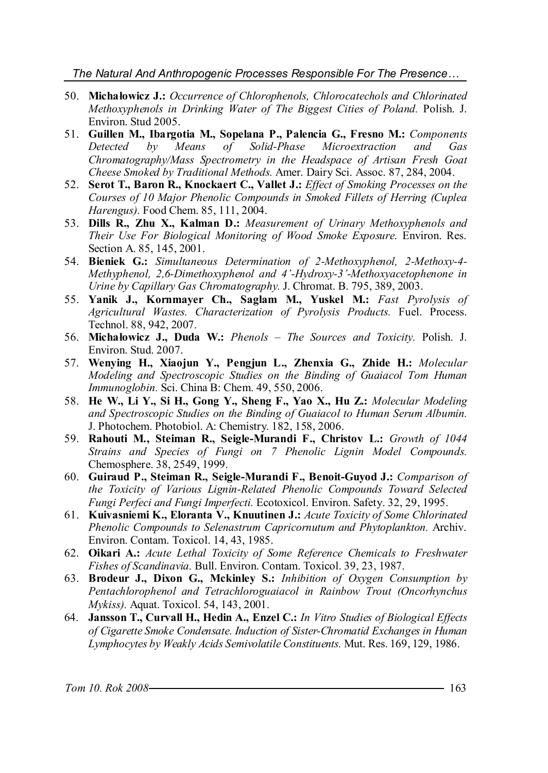#### *The Natural And Anthropogenic Processes Responsible For The Presence…*

- 50. **Michałowicz J.:** *Occurrence of Chlorophenols, Chlorocatechols and Chlorinated Methoxyphenols in Drinking Water of The Biggest Cities of Poland.* Polish. J. Environ. Stud 2005.
- 51. **Guillen M., Ibargotia M., Sopelana P., Palencia G., Fresno M.:** *Components Detected by Means of Solid-Phase Microextraction and Gas Chromatography/Mass Spectrometry in the Headspace of Artisan Fresh Goat Cheese Smoked by Traditional Methods.* Amer. Dairy Sci. Assoc. 87, 284, 2004.
- 52. **Serot T., Baron R., Knockaert C., Vallet J.:** *Effect of Smoking Processes on the Courses of 10 Major Phenolic Compounds in Smoked Fillets of Herring (Cuplea Harengus).* Food Chem. 85, 111, 2004.
- 53. **Dills R., Zhu X., Kalman D.:** *Measurement of Urinary Methoxyphenols and Their Use For Biological Monitoring of Wood Smoke Exposure.* Environ. Res. Section A. 85, 145, 2001.
- 54. **Bieniek G.:** *Simultaneous Determination of 2-Methoxyphenol, 2-Methoxy-4- Methyphenol, 2,6-Dimethoxyphenol and 4'-Hydroxy-3'-Methoxyacetophenone in Urine by Capillary Gas Chromatography.* J. Chromat. B. 795, 389, 2003.
- 55. **Yanik J., Kornmayer Ch., Saglam M., Yuskel M.:** *Fast Pyrolysis of Agricultural Wastes. Characterization of Pyrolysis Products.* Fuel. Process. Technol. 88, 942, 2007.
- 56. **Michałowicz J., Duda W.:** *Phenols – The Sources and Toxicity.* Polish. J. Environ. Stud. 2007.
- 57. **Wenying H., Xiaojun Y., Pengjun L., Zhenxia G., Zhide H.:** *Molecular Modeling and Spectroscopic Studies on the Binding of Guaiacol Tom Human Immunoglobin.* Sci. China B: Chem. 49, 550, 2006.
- 58. **He W., Li Y., Si H., Gong Y., Sheng F., Yao X., Hu Z.:** *Molecular Modeling and Spectroscopic Studies on the Binding of Guaiacol to Human Serum Albumin.* J. Photochem. Photobiol. A: Chemistry. 182, 158, 2006.
- 59. **Rahouti M., Steiman R., Seigle-Murandi F., Christov L.:** *Growth of 1044 Strains and Species of Fungi on 7 Phenolic Lignin Model Compounds.* Chemosphere. 38, 2549, 1999.
- 60. **Guiraud P., Steiman R., Seigle-Murandi F., Benoit-Guyod J.:** *Comparison of the Toxicity of Various Lignin-Related Phenolic Compounds Toward Selected Fungi Perfeci and Fungi Imperfecti.* Ecotoxicol. Environ. Safety. 32, 29, 1995.
- 61. **Kuivasniemi K., Eloranta V., Knuutinen J.:** *Acute Toxicity of Some Chlorinated Phenolic Compounds to Selenastrum Capricornutum and Phytoplankton.* Archiv. Environ. Contam. Toxicol. 14, 43, 1985.
- 62. **Oikari A.:** *Acute Lethal Toxicity of Some Reference Chemicals to Freshwater Fishes of Scandinavia.* Bull. Environ. Contam. Toxicol. 39, 23, 1987.
- 63. **Brodeur J., Dixon G., Mckinley S.:** *Inhibition of Oxygen Consumption by Pentachlorophenol and Tetrachloroguaiacol in Rainbow Trout (Oncorhynchus Mykiss).* Aquat. Toxicol. 54, 143, 2001.
- 64. **Jansson T., Curvall H., Hedin A., Enzel C.:** *In Vitro Studies of Biological Effects of Cigarette Smoke Condensate. Induction of Sister-Chromatid Exchanges in Human Lymphocytes by Weakly Acids Semivolatile Constituents.* Mut. Res. 169, 129, 1986.